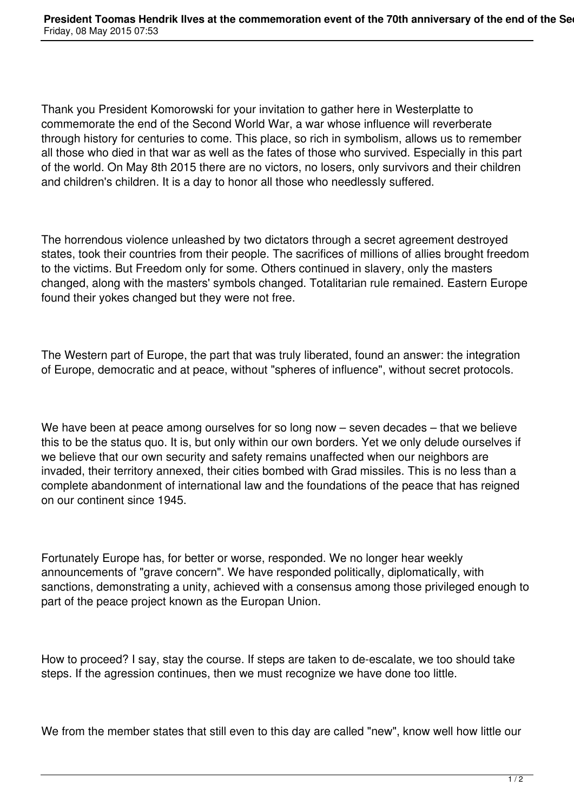Thank you President Komorowski for your invitation to gather here in Westerplatte to commemorate the end of the Second World War, a war whose influence will reverberate through history for centuries to come. This place, so rich in symbolism, allows us to remember all those who died in that war as well as the fates of those who survived. Especially in this part of the world. On May 8th 2015 there are no victors, no losers, only survivors and their children and children's children. It is a day to honor all those who needlessly suffered.

The horrendous violence unleashed by two dictators through a secret agreement destroyed states, took their countries from their people. The sacrifices of millions of allies brought freedom to the victims. But Freedom only for some. Others continued in slavery, only the masters changed, along with the masters' symbols changed. Totalitarian rule remained. Eastern Europe found their yokes changed but they were not free.

The Western part of Europe, the part that was truly liberated, found an answer: the integration of Europe, democratic and at peace, without "spheres of influence", without secret protocols.

We have been at peace among ourselves for so long now – seven decades – that we believe this to be the status quo. It is, but only within our own borders. Yet we only delude ourselves if we believe that our own security and safety remains unaffected when our neighbors are invaded, their territory annexed, their cities bombed with Grad missiles. This is no less than a complete abandonment of international law and the foundations of the peace that has reigned on our continent since 1945.

Fortunately Europe has, for better or worse, responded. We no longer hear weekly announcements of "grave concern". We have responded politically, diplomatically, with sanctions, demonstrating a unity, achieved with a consensus among those privileged enough to part of the peace project known as the Europan Union.

How to proceed? I say, stay the course. If steps are taken to de-escalate, we too should take steps. If the agression continues, then we must recognize we have done too little.

We from the member states that still even to this day are called "new", know well how little our